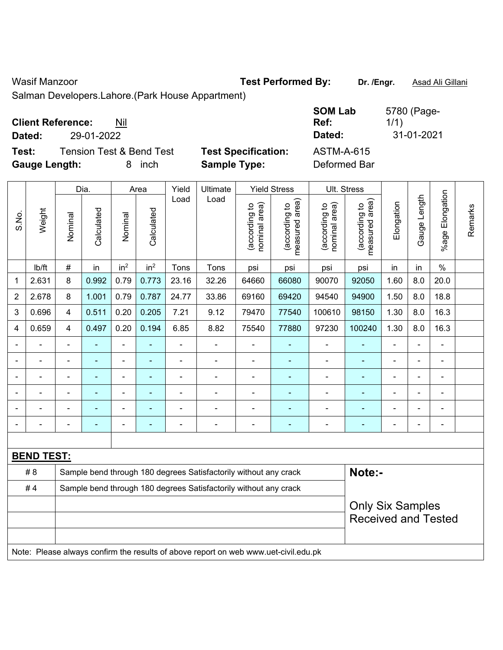## Wasif Manzoor **Test Performed By:** Dr. /Engr. **Asad Ali Gillani** Associates Associates Associates Associates Associates Associates Associates Associates Associates Associates Associates Associates Associates Associates Ass

Salman Developers.Lahore.(Park House Appartment)

**Test:** Tension Test & Bend Test **Test Specification:** ASTM-A-615 **Gauge Length:** 8 inch **Sample Type:** Deformed Bar

**SOM Lab Ref:**  5780 (Page-1/1) **Dated:** 29-01-2022 **Dated:** 31-01-2021

|                |                                                                                     |                                                                  | Dia.           |                 | Area            | Yield          | Ultimate                                                         |                                | <b>Yield Stress</b>             |                                | Ult. Stress                     |                |                |                 |         |
|----------------|-------------------------------------------------------------------------------------|------------------------------------------------------------------|----------------|-----------------|-----------------|----------------|------------------------------------------------------------------|--------------------------------|---------------------------------|--------------------------------|---------------------------------|----------------|----------------|-----------------|---------|
| S.No.          | Weight                                                                              | Nominal                                                          | Calculated     | Nominal         | Calculated      | Load           | Load                                                             | (according to<br>nominal area) | (according to<br>measured area) | nominal area)<br>(according to | measured area)<br>(according to | Elongation     | Gauge Length   | %age Elongation | Remarks |
|                | Ib/ft                                                                               | $\#$                                                             | in             | in <sup>2</sup> | in <sup>2</sup> | Tons           | Tons                                                             | psi                            | psi                             | psi                            | psi                             | in             | in             | $\%$            |         |
| $\mathbf{1}$   | 2.631                                                                               | 8                                                                | 0.992          | 0.79            | 0.773           | 23.16          | 32.26                                                            | 64660                          | 66080                           | 90070                          | 92050                           | 1.60           | 8.0            | 20.0            |         |
| $\overline{2}$ | 2.678                                                                               | 8                                                                | 1.001          | 0.79            | 0.787           | 24.77          | 33.86                                                            | 69160                          | 69420                           | 94540                          | 94900                           | 1.50           | 8.0            | 18.8            |         |
| 3              | 0.696                                                                               | $\overline{4}$                                                   | 0.511          | 0.20            | 0.205           | 7.21           | 9.12                                                             | 79470                          | 77540                           | 100610                         | 98150                           | 1.30           | 8.0            | 16.3            |         |
| 4              | 0.659                                                                               | $\overline{4}$                                                   | 0.497          | 0.20            | 0.194           | 6.85           | 8.82                                                             | 75540                          | 77880                           | 97230                          | 100240                          | 1.30           | 8.0            | 16.3            |         |
|                |                                                                                     | $\blacksquare$                                                   | ä,             | ÷,              |                 | $\overline{a}$ | $\overline{\phantom{a}}$                                         | $\blacksquare$                 | $\blacksquare$                  | $\overline{\phantom{a}}$       | $\blacksquare$                  |                |                |                 |         |
|                |                                                                                     |                                                                  | $\blacksquare$ | $\blacksquare$  |                 |                | ä,                                                               | $\blacksquare$                 |                                 | ä,                             |                                 |                |                |                 |         |
|                |                                                                                     |                                                                  | $\blacksquare$ | $\blacksquare$  |                 |                | $\blacksquare$                                                   | $\blacksquare$                 | $\blacksquare$                  | $\blacksquare$                 | $\blacksquare$                  |                |                | $\blacksquare$  |         |
| $\blacksquare$ |                                                                                     | $\blacksquare$                                                   | ÷              | $\blacksquare$  | $\blacksquare$  | $\blacksquare$ | $\blacksquare$                                                   | $\overline{\phantom{a}}$       | $\blacksquare$                  | $\blacksquare$                 | ۰                               | $\blacksquare$ | $\blacksquare$ | $\blacksquare$  |         |
|                |                                                                                     | $\blacksquare$                                                   | $\blacksquare$ | $\blacksquare$  |                 |                | $\blacksquare$                                                   | $\blacksquare$                 | $\blacksquare$                  | $\blacksquare$                 | ۰                               |                |                | $\blacksquare$  |         |
|                | ä,                                                                                  | $\blacksquare$                                                   | ÷,             | ÷,              | $\blacksquare$  | $\blacksquare$ | $\frac{1}{2}$                                                    | $\blacksquare$                 | $\blacksquare$                  | $\overline{\phantom{a}}$       | $\blacksquare$                  | $\blacksquare$ |                | $\blacksquare$  |         |
|                |                                                                                     |                                                                  |                |                 |                 |                |                                                                  |                                |                                 |                                |                                 |                |                |                 |         |
|                | <b>BEND TEST:</b>                                                                   |                                                                  |                |                 |                 |                |                                                                  |                                |                                 |                                |                                 |                |                |                 |         |
|                | #8                                                                                  | Sample bend through 180 degrees Satisfactorily without any crack |                |                 |                 |                |                                                                  |                                |                                 |                                | Note:-                          |                |                |                 |         |
|                | #4                                                                                  |                                                                  |                |                 |                 |                | Sample bend through 180 degrees Satisfactorily without any crack |                                |                                 |                                |                                 |                |                |                 |         |
|                |                                                                                     |                                                                  |                |                 |                 |                |                                                                  |                                |                                 |                                | <b>Only Six Samples</b>         |                |                |                 |         |
|                |                                                                                     |                                                                  |                |                 |                 |                |                                                                  |                                |                                 |                                | <b>Received and Tested</b>      |                |                |                 |         |
|                |                                                                                     |                                                                  |                |                 |                 |                |                                                                  |                                |                                 |                                |                                 |                |                |                 |         |
|                | Note: Please always confirm the results of above report on web www.uet-civil.edu.pk |                                                                  |                |                 |                 |                |                                                                  |                                |                                 |                                |                                 |                |                |                 |         |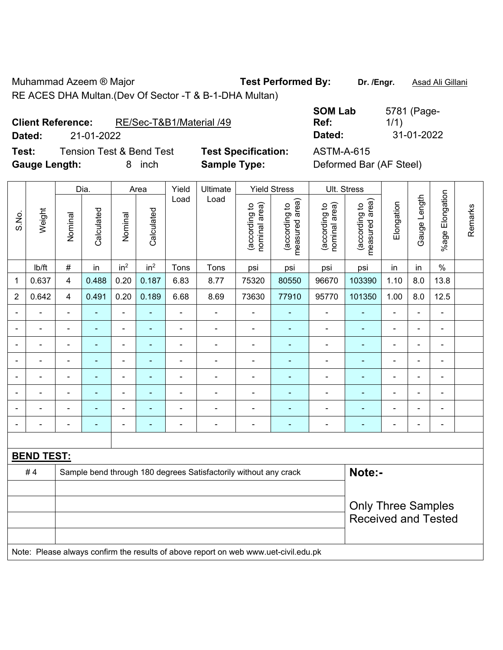Muhammad Azeem ® Major **Test Performed By:** Dr. /Engr. **Asad Ali Gillani** RE ACES DHA Multan.(Dev Of Sector -T & B-1-DHA Multan)

| <b>Client Reference:</b> | RE/Sec-T&B1/Material /49 |
|--------------------------|--------------------------|
|                          |                          |

**Test:** Tension Test & Bend Test **Test Specification:** ASTM-A-615 Gauge Length: **8** inch **Sample Type:** 

**SOM Lab Ref:**  5781 (Page-1/1) **Dated:** 21-01-2022 **Dated:** 31-01-2022

| Deformed Bar (AF Steel) |  |
|-------------------------|--|
|-------------------------|--|

|                |                                                                                     |                         | Dia.           |                 | Area            | Yield<br>Load  | Ultimate<br>Load                                                 |                                | <b>Yield Stress</b>             |                                | Ult. Stress                     |                          |                |                 |         |
|----------------|-------------------------------------------------------------------------------------|-------------------------|----------------|-----------------|-----------------|----------------|------------------------------------------------------------------|--------------------------------|---------------------------------|--------------------------------|---------------------------------|--------------------------|----------------|-----------------|---------|
| S.No.          | Weight                                                                              | Nominal                 | Calculated     | Nominal         | Calculated      |                |                                                                  | nominal area)<br>(according to | (according to<br>measured area) | (according to<br>nominal area) | measured area)<br>(according to | Elongation               | Gauge Length   | %age Elongation | Remarks |
|                | Ib/ft                                                                               | $\#$                    | in             | in <sup>2</sup> | in <sup>2</sup> | Tons           | Tons                                                             | psi                            | psi                             | psi                            | psi                             | in                       | in             | $\%$            |         |
| 1              | 0.637                                                                               | $\overline{\mathbf{4}}$ | 0.488          | 0.20            | 0.187           | 6.83           | 8.77                                                             | 75320                          | 80550                           | 96670                          | 103390                          | 1.10                     | 8.0            | 13.8            |         |
| $\overline{2}$ | 0.642                                                                               | $\overline{\mathbf{4}}$ | 0.491          | 0.20            | 0.189           | 6.68           | 8.69                                                             | 73630                          | 77910                           | 95770                          | 101350                          | 1.00                     | 8.0            | 12.5            |         |
| ä,             | ä,                                                                                  | $\blacksquare$          | $\blacksquare$ | $\blacksquare$  | $\blacksquare$  | ÷,             | ÷,                                                               | $\overline{\phantom{a}}$       | $\blacksquare$                  | $\blacksquare$                 | $\blacksquare$                  | $\overline{\phantom{a}}$ | $\blacksquare$ | ÷,              |         |
| $\blacksquare$ | ä,                                                                                  | $\blacksquare$          | ä,             | $\blacksquare$  | $\blacksquare$  | $\blacksquare$ | $\blacksquare$                                                   | $\blacksquare$                 | $\blacksquare$                  | ÷                              | $\blacksquare$                  | $\blacksquare$           | ä,             | ÷,              |         |
| $\blacksquare$ | $\blacksquare$                                                                      | $\blacksquare$          | $\blacksquare$ | $\blacksquare$  | $\blacksquare$  | $\blacksquare$ | $\blacksquare$                                                   | $\blacksquare$                 | $\blacksquare$                  | ۰                              | $\blacksquare$                  | $\blacksquare$           | $\blacksquare$ | $\blacksquare$  |         |
| $\blacksquare$ | ä,                                                                                  | $\blacksquare$          | $\blacksquare$ | $\blacksquare$  | ×,              | $\blacksquare$ | ÷                                                                | $\blacksquare$                 | $\blacksquare$                  | ÷,                             | $\blacksquare$                  | $\blacksquare$           | $\blacksquare$ | ÷,              |         |
|                |                                                                                     | $\blacksquare$          | $\blacksquare$ | Ē,              |                 |                |                                                                  | $\blacksquare$                 | $\blacksquare$                  | $\blacksquare$                 | $\blacksquare$                  |                          |                | $\blacksquare$  |         |
|                |                                                                                     |                         |                | Ē,              |                 |                |                                                                  |                                |                                 |                                |                                 |                          |                |                 |         |
|                |                                                                                     |                         | $\blacksquare$ | $\blacksquare$  |                 |                | $\blacksquare$                                                   | $\blacksquare$                 | ٠                               | $\blacksquare$                 | $\blacksquare$                  |                          |                | $\blacksquare$  |         |
| ÷              | ÷                                                                                   | $\blacksquare$          | ÷              | ÷,              | $\blacksquare$  | ÷              | ÷                                                                | $\blacksquare$                 | ÷,                              | ÷                              | ÷                               | $\blacksquare$           | $\blacksquare$ | ÷,              |         |
|                |                                                                                     |                         |                |                 |                 |                |                                                                  |                                |                                 |                                |                                 |                          |                |                 |         |
|                | <b>BEND TEST:</b>                                                                   |                         |                |                 |                 |                |                                                                  |                                |                                 |                                |                                 |                          |                |                 |         |
|                | #4                                                                                  |                         |                |                 |                 |                | Sample bend through 180 degrees Satisfactorily without any crack |                                |                                 |                                | Note:-                          |                          |                |                 |         |
|                |                                                                                     |                         |                |                 |                 |                |                                                                  |                                |                                 |                                |                                 |                          |                |                 |         |
|                |                                                                                     |                         |                |                 |                 |                |                                                                  |                                |                                 |                                | <b>Only Three Samples</b>       |                          |                |                 |         |
|                |                                                                                     |                         |                |                 |                 |                |                                                                  |                                |                                 |                                | <b>Received and Tested</b>      |                          |                |                 |         |
|                |                                                                                     |                         |                |                 |                 |                |                                                                  |                                |                                 |                                |                                 |                          |                |                 |         |
|                | Note: Please always confirm the results of above report on web www.uet-civil.edu.pk |                         |                |                 |                 |                |                                                                  |                                |                                 |                                |                                 |                          |                |                 |         |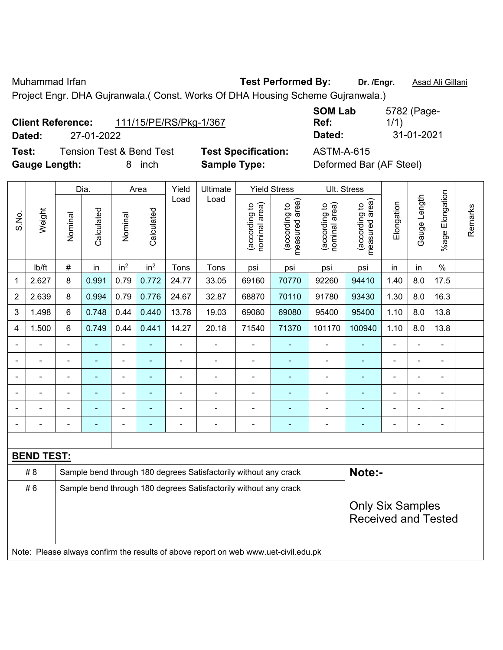Muhammad Irfan **Test Performed By: Dr. /Engr.** Asad Ali Gillani

Project Engr. DHA Gujranwala.( Const. Works Of DHA Housing Scheme Gujranwala.)

| <b>Client Reference:</b> | 111/15/PE/RS/Pkg-1/367 |
|--------------------------|------------------------|
|--------------------------|------------------------|

**Test:** Tension Test & Bend Test **Test Specification:** ASTM-A-615 **Gauge Length:** 8 inch **Sample Type:** Deformed Bar (AF Steel)

**SOM Lab Ref:**  5782 (Page-1/1) **Dated:** 27-01-2022 **Dated:** 31-01-2021

|                |                                                                                     |                                                                  | Dia.       |                 | Area            | Yield          | <b>Ultimate</b>                                                  |                                | <b>Yield Stress</b>             |                                | Ult. Stress                     |            |                |                 |         |
|----------------|-------------------------------------------------------------------------------------|------------------------------------------------------------------|------------|-----------------|-----------------|----------------|------------------------------------------------------------------|--------------------------------|---------------------------------|--------------------------------|---------------------------------|------------|----------------|-----------------|---------|
| S.No.          | Weight                                                                              | Nominal                                                          | Calculated | Nominal         | Calculated      | Load           | Load                                                             | nominal area)<br>(according to | (according to<br>measured area) | (according to<br>nominal area) | (according to<br>measured area) | Elongation | Gauge Length   | %age Elongation | Remarks |
|                | lb/ft                                                                               | $\#$                                                             | in         | in <sup>2</sup> | in <sup>2</sup> | Tons           | Tons                                                             | psi                            | psi                             | psi                            | psi                             | in         | in             | $\%$            |         |
| 1              | 2.627                                                                               | 8                                                                | 0.991      | 0.79            | 0.772           | 24.77          | 33.05                                                            | 69160                          | 70770                           | 92260                          | 94410                           | 1.40       | 8.0            | 17.5            |         |
| $\overline{2}$ | 2.639                                                                               | 8                                                                | 0.994      | 0.79            | 0.776           | 24.67          | 32.87                                                            | 68870                          | 70110                           | 91780                          | 93430                           | 1.30       | 8.0            | 16.3            |         |
| 3              | 1.498                                                                               | $6\phantom{1}$                                                   | 0.748      | 0.44            | 0.440           | 13.78          | 19.03                                                            | 69080                          | 69080                           | 95400                          | 95400                           | 1.10       | 8.0            | 13.8            |         |
| 4              | 1.500                                                                               | 6                                                                | 0.749      | 0.44            | 0.441           | 14.27          | 20.18                                                            | 71540                          | 71370                           | 101170                         | 100940                          | 1.10       | 8.0            | 13.8            |         |
| $\blacksquare$ |                                                                                     | $\blacksquare$                                                   |            | ä,              | ÷               | ä,             | $\blacksquare$                                                   | $\blacksquare$                 | ٠                               | $\blacksquare$                 |                                 |            |                | $\blacksquare$  |         |
| ۰              |                                                                                     | $\blacksquare$                                                   | ä,         | ÷,              | ÷               | $\blacksquare$ | ÷,                                                               | $\blacksquare$                 | $\blacksquare$                  | ÷                              |                                 | ÷          | $\blacksquare$ | $\blacksquare$  |         |
|                |                                                                                     | $\blacksquare$                                                   | ÷          | ÷               | ÷               | $\blacksquare$ | $\blacksquare$                                                   | $\blacksquare$                 | $\overline{\phantom{0}}$        | $\overline{\phantom{a}}$       | ۰                               | ۰          | $\blacksquare$ | $\blacksquare$  |         |
| $\blacksquare$ | $\blacksquare$                                                                      | $\blacksquare$                                                   | ä,         | $\blacksquare$  | ä,              | ä,             | $\blacksquare$                                                   | $\blacksquare$                 | ÷,                              | $\blacksquare$                 | ÷                               | ä,         | ä,             | $\blacksquare$  |         |
|                |                                                                                     |                                                                  |            | $\blacksquare$  |                 |                |                                                                  |                                |                                 |                                |                                 |            |                | Ē,              |         |
|                |                                                                                     |                                                                  |            |                 |                 |                |                                                                  |                                | ٠                               |                                |                                 |            |                |                 |         |
|                |                                                                                     |                                                                  |            |                 |                 |                |                                                                  |                                |                                 |                                |                                 |            |                |                 |         |
|                | <b>BEND TEST:</b>                                                                   |                                                                  |            |                 |                 |                |                                                                  |                                |                                 |                                |                                 |            |                |                 |         |
|                | #8                                                                                  |                                                                  |            |                 |                 |                | Sample bend through 180 degrees Satisfactorily without any crack |                                |                                 |                                | Note:-                          |            |                |                 |         |
|                | #6                                                                                  | Sample bend through 180 degrees Satisfactorily without any crack |            |                 |                 |                |                                                                  |                                |                                 |                                |                                 |            |                |                 |         |
|                |                                                                                     |                                                                  |            |                 |                 |                |                                                                  |                                |                                 |                                | <b>Only Six Samples</b>         |            |                |                 |         |
|                |                                                                                     |                                                                  |            |                 |                 |                |                                                                  |                                |                                 |                                | <b>Received and Tested</b>      |            |                |                 |         |
|                |                                                                                     |                                                                  |            |                 |                 |                |                                                                  |                                |                                 |                                |                                 |            |                |                 |         |
|                | Note: Please always confirm the results of above report on web www.uet-civil.edu.pk |                                                                  |            |                 |                 |                |                                                                  |                                |                                 |                                |                                 |            |                |                 |         |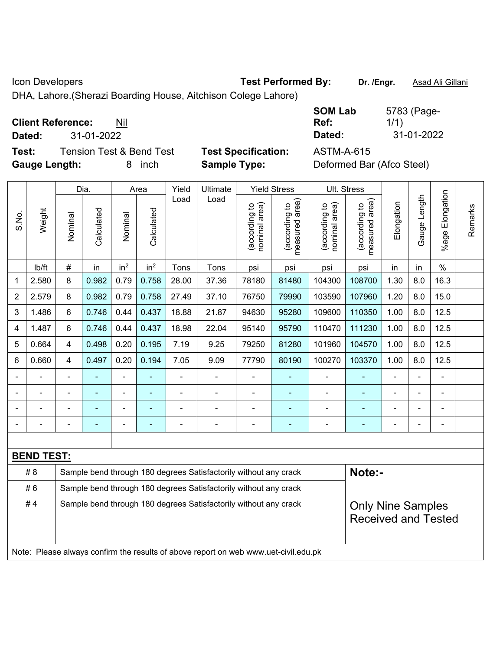Icon Developers **Test Performed By:** Dr. /Engr. **Asad Ali Gillani** Con Developers

DHA, Lahore.(Sherazi Boarding House, Aitchison Colege Lahore)

**Client Reference:** Nil

**Test:** Tension Test & Bend Test **Test Specification:** ASTM-A-615 **Gauge Length:** 8 inch **Sample Type:** Deformed Bar (Afco Steel)

**SOM Lab Ref:**  5783 (Page-1/1) **Dated:** 31-01-2022 **Dated:** 31-01-2022

|                |                   |                                                                  | Dia.           |                 | Area            | Yield          | Ultimate                                                                            |                                | <b>Yield Stress</b>             |                                | Ult. Stress                     |            |              |                         |         |
|----------------|-------------------|------------------------------------------------------------------|----------------|-----------------|-----------------|----------------|-------------------------------------------------------------------------------------|--------------------------------|---------------------------------|--------------------------------|---------------------------------|------------|--------------|-------------------------|---------|
| S.No.          | Weight            | Nominal                                                          | Calculated     | Nominal         | Calculated      | Load           | Load                                                                                | nominal area)<br>(according to | (according to<br>measured area) | nominal area)<br>(according to | measured area)<br>(according to | Elongation | Gauge Length | Elongation<br>$%$ age I | Remarks |
|                | lb/ft             | $\#$                                                             | in             | in <sup>2</sup> | in <sup>2</sup> | Tons           | Tons                                                                                | psi                            | psi                             | psi                            | psi                             | in         | in           | $\%$                    |         |
| 1              | 2.580             | 8                                                                | 0.982          | 0.79            | 0.758           | 28.00          | 37.36                                                                               | 78180                          | 81480                           | 104300                         | 108700                          | 1.30       | 8.0          | 16.3                    |         |
| $\overline{2}$ | 2.579             | 8                                                                | 0.982          | 0.79            | 0.758           | 27.49          | 37.10                                                                               | 76750                          | 79990                           | 103590                         | 107960                          | 1.20       | 8.0          | 15.0                    |         |
| 3              | 1.486             | 6                                                                | 0.746          | 0.44            | 0.437           | 18.88          | 21.87                                                                               | 94630                          | 95280                           | 109600                         | 110350                          | 1.00       | 8.0          | 12.5                    |         |
| 4              | 1.487             | 6                                                                | 0.746          | 0.44            | 0.437           | 18.98          | 22.04                                                                               | 95140                          | 95790                           | 110470                         | 111230                          | 1.00       | 8.0          | 12.5                    |         |
| 5              | 0.664             | $\overline{4}$                                                   | 0.498          | 0.20            | 0.195           | 7.19           | 9.25                                                                                | 79250                          | 81280                           | 101960                         | 104570                          | 1.00       | 8.0          | 12.5                    |         |
| 6              | 0.660             | 4                                                                | 0.497          | 0.20            | 0.194           | 7.05           | 9.09                                                                                | 77790                          | 80190                           | 100270                         | 103370                          | 1.00       | 8.0          | 12.5                    |         |
|                | ÷,                |                                                                  |                | ÷,              |                 | $\blacksquare$ | ÷                                                                                   | ÷,                             | ÷,                              | $\blacksquare$                 |                                 | ä,         | ÷,           | $\overline{a}$          |         |
|                | $\overline{a}$    | $\blacksquare$                                                   | $\blacksquare$ | $\blacksquare$  | $\overline{a}$  | $\blacksquare$ | ÷                                                                                   | $\blacksquare$                 | $\blacksquare$                  | $\blacksquare$                 | $\blacksquare$                  |            | ۰            |                         |         |
|                |                   |                                                                  |                |                 |                 |                |                                                                                     | $\overline{\phantom{a}}$       | $\blacksquare$                  | $\blacksquare$                 |                                 |            |              | $\blacksquare$          |         |
|                |                   |                                                                  |                | ÷               |                 |                |                                                                                     |                                |                                 |                                |                                 |            | ۰            | Ē,                      |         |
|                |                   |                                                                  |                |                 |                 |                |                                                                                     |                                |                                 |                                |                                 |            |              |                         |         |
|                | <b>BEND TEST:</b> |                                                                  |                |                 |                 |                |                                                                                     |                                |                                 |                                |                                 |            |              |                         |         |
|                | #8                |                                                                  |                |                 |                 |                | Sample bend through 180 degrees Satisfactorily without any crack                    |                                |                                 |                                | Note:-                          |            |              |                         |         |
|                | #6                | Sample bend through 180 degrees Satisfactorily without any crack |                |                 |                 |                |                                                                                     |                                |                                 |                                |                                 |            |              |                         |         |
|                | #4                |                                                                  |                |                 |                 |                | Sample bend through 180 degrees Satisfactorily without any crack                    |                                |                                 |                                | <b>Only Nine Samples</b>        |            |              |                         |         |
|                |                   |                                                                  |                |                 |                 |                |                                                                                     |                                |                                 |                                | <b>Received and Tested</b>      |            |              |                         |         |
|                |                   |                                                                  |                |                 |                 |                |                                                                                     |                                |                                 |                                |                                 |            |              |                         |         |
|                |                   |                                                                  |                |                 |                 |                | Note: Please always confirm the results of above report on web www.uet-civil.edu.pk |                                |                                 |                                |                                 |            |              |                         |         |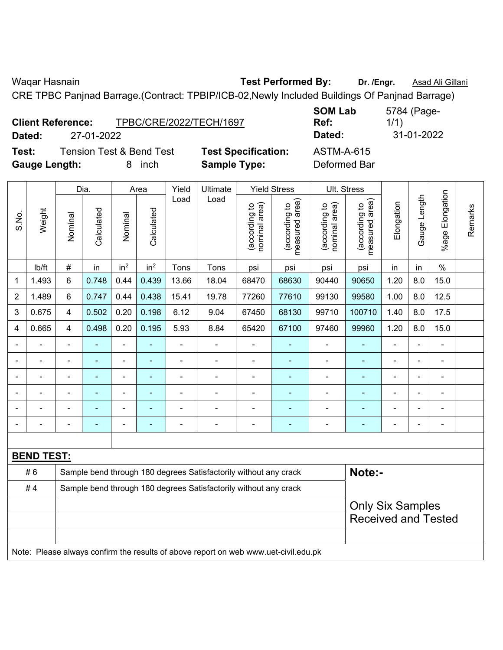Waqar Hasnain **Test Performed By:** Dr. /Engr. **Asad Ali Gillani Waqar Hasnain** 

CRE TPBC Panjnad Barrage.(Contract: TPBIP/ICB-02,Newly Included Buildings Of Panjnad Barrage)

| <b>Client Reference:</b> |            | TPBC/CRE/2022/TECH/1697             |                            | <b>SOM Lab</b><br>Ref: |
|--------------------------|------------|-------------------------------------|----------------------------|------------------------|
| Dated:                   | 27-01-2022 |                                     |                            | Dated:                 |
| Test:                    |            | <b>Tension Test &amp; Bend Test</b> | <b>Test Specification:</b> | <b>ASTM-A-615</b>      |
| <b>Gauge Length:</b>     |            | <i>inch</i>                         | <b>Sample Type:</b>        | Deformed Bar           |

|                |                                                                                     |                         | Dia.                                                             |                          | Area                     | Yield          | Ultimate                                                         |                                | <b>Yield Stress</b>             |                                | Ult. Stress                     |            |                |                         |         |
|----------------|-------------------------------------------------------------------------------------|-------------------------|------------------------------------------------------------------|--------------------------|--------------------------|----------------|------------------------------------------------------------------|--------------------------------|---------------------------------|--------------------------------|---------------------------------|------------|----------------|-------------------------|---------|
| S.No.          | Weight                                                                              | Nominal                 | Calculated                                                       | Nominal                  | Calculated               | Load           | Load                                                             | nominal area)<br>(according to | (according to<br>measured area) | nominal area)<br>(according to | (according to<br>measured area) | Elongation | Gauge Length   | Elongation<br>$%$ age I | Remarks |
|                | lb/ft                                                                               | $\#$                    | in                                                               | in <sup>2</sup>          | in <sup>2</sup>          | Tons           | Tons                                                             | psi                            | psi                             | psi                            | psi                             | in         | in             | $\%$                    |         |
| 1              | 1.493                                                                               | 6                       | 0.748                                                            | 0.44                     | 0.439                    | 13.66          | 18.04                                                            | 68470                          | 68630                           | 90440                          | 90650                           | 1.20       | 8.0            | 15.0                    |         |
| $\overline{2}$ | 1.489                                                                               | 6                       | 0.747                                                            | 0.44                     | 0.438                    | 15.41          | 19.78                                                            | 77260                          | 77610                           | 99130                          | 99580                           | 1.00       | 8.0            | 12.5                    |         |
| 3              | 0.675                                                                               | $\overline{\mathbf{4}}$ | 0.502                                                            | 0.20                     | 0.198                    | 6.12           | 9.04                                                             | 67450                          | 68130                           | 99710                          | 100710                          | 1.40       | 8.0            | 17.5                    |         |
| 4              | 0.665                                                                               | 4                       | 0.498                                                            | 0.20                     | 0.195                    | 5.93           | 8.84                                                             | 65420                          | 67100                           | 97460                          | 99960                           | 1.20       | 8.0            | 15.0                    |         |
|                | $\blacksquare$                                                                      |                         | $\blacksquare$                                                   | ÷,                       | $\overline{\phantom{a}}$ | ä,             | $\blacksquare$                                                   | ÷                              | $\blacksquare$                  | $\blacksquare$                 |                                 | ÷          | -              | ä,                      |         |
|                | $\blacksquare$                                                                      |                         | $\blacksquare$                                                   | $\overline{\phantom{a}}$ | $\blacksquare$           | $\blacksquare$ | $\blacksquare$                                                   | $\blacksquare$                 | $\blacksquare$                  | $\blacksquare$                 | $\blacksquare$                  | L.         | ÷.             | $\blacksquare$          |         |
|                |                                                                                     |                         | $\blacksquare$                                                   | $\blacksquare$           | $\overline{\phantom{a}}$ |                | $\blacksquare$                                                   | $\blacksquare$                 | $\blacksquare$                  | $\blacksquare$                 |                                 | L.         | $\blacksquare$ | $\blacksquare$          |         |
|                |                                                                                     |                         |                                                                  | $\blacksquare$           |                          |                |                                                                  |                                |                                 |                                |                                 |            | ÷              | $\blacksquare$          |         |
|                |                                                                                     |                         |                                                                  | $\blacksquare$           |                          |                |                                                                  | $\blacksquare$                 | $\blacksquare$                  | $\blacksquare$                 |                                 |            | $\blacksquare$ | $\blacksquare$          |         |
| $\blacksquare$ |                                                                                     |                         | ÷                                                                | $\blacksquare$           | $\blacksquare$           | Ē,             | $\blacksquare$                                                   | Ē,                             | $\blacksquare$                  | $\blacksquare$                 | $\blacksquare$                  | ÷          | ÷,             | $\blacksquare$          |         |
|                |                                                                                     |                         |                                                                  |                          |                          |                |                                                                  |                                |                                 |                                |                                 |            |                |                         |         |
|                | <b>BEND TEST:</b>                                                                   |                         |                                                                  |                          |                          |                |                                                                  |                                |                                 |                                |                                 |            |                |                         |         |
|                | #6                                                                                  |                         |                                                                  |                          |                          |                | Sample bend through 180 degrees Satisfactorily without any crack |                                |                                 |                                | Note:-                          |            |                |                         |         |
|                | #4                                                                                  |                         | Sample bend through 180 degrees Satisfactorily without any crack |                          |                          |                |                                                                  |                                |                                 |                                |                                 |            |                |                         |         |
|                |                                                                                     |                         |                                                                  |                          |                          |                |                                                                  |                                |                                 |                                | <b>Only Six Samples</b>         |            |                |                         |         |
|                |                                                                                     |                         |                                                                  |                          |                          |                |                                                                  |                                |                                 |                                | <b>Received and Tested</b>      |            |                |                         |         |
|                | Note: Please always confirm the results of above report on web www.uet-civil.edu.pk |                         |                                                                  |                          |                          |                |                                                                  |                                |                                 |                                |                                 |            |                |                         |         |

**SOM Lab Ref:**  5784 (Page-1/1) **Dated:** 27-01-2022 **Dated:** 31-01-2022  $TM-A-615$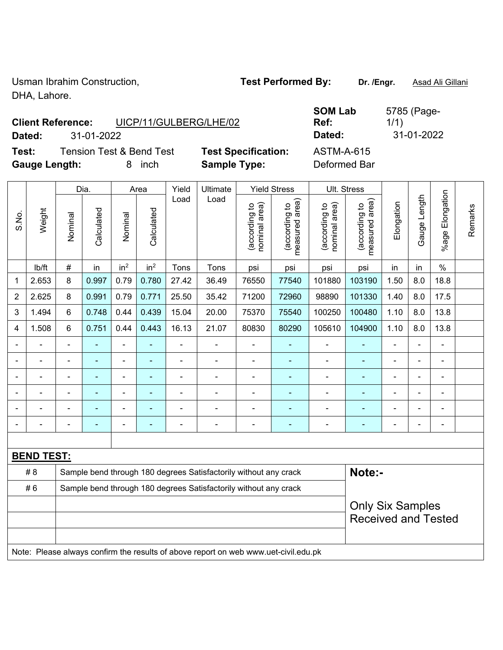Usman Ibrahim Construction, **Test Performed By:** Dr. /Engr. **Asad Ali Gillani** DHA, Lahore.

**Client Reference:** UICP/11/GULBERG/LHE/02

**Test:** Tension Test & Bend Test **Test Specification:** ASTM-A-615 **Gauge Length:** 8 inch **Sample Type:** Deformed Bar

**SOM Lab Ref:**  5785 (Page-1/1) **Dated:** 31-01-2022 **Dated:** 31-01-2022

|                |                   |                                                                  | Dia.           |                              | Area            | Yield          | Ultimate                                                                            |                                | <b>Yield Stress</b>                         |                                | Ult. Stress                     |                |                |                       |         |
|----------------|-------------------|------------------------------------------------------------------|----------------|------------------------------|-----------------|----------------|-------------------------------------------------------------------------------------|--------------------------------|---------------------------------------------|--------------------------------|---------------------------------|----------------|----------------|-----------------------|---------|
| S.No.          | Weight            | Nominal                                                          | Calculated     | Nominal                      | Calculated      | Load           | Load                                                                                | (according to<br>nominal area) | (according to<br>measured area)<br>measured | (according to<br>nominal area) | (according to<br>measured area) | Elongation     | Gauge Length   | Elongation<br>$%$ age | Remarks |
|                | lb/ft             | $\#$                                                             | in             | in <sup>2</sup>              | in <sup>2</sup> | Tons           | Tons                                                                                | psi                            | psi                                         | psi                            | psi                             | in             | in             | $\%$                  |         |
| 1              | 2.653             | 8                                                                | 0.997          | 0.79                         | 0.780           | 27.42          | 36.49                                                                               | 76550                          | 77540                                       | 101880                         | 103190                          | 1.50           | 8.0            | 18.8                  |         |
| $\overline{2}$ | 2.625             | 8                                                                | 0.991          | 0.79                         | 0.771           | 25.50          | 35.42                                                                               | 71200                          | 72960                                       | 98890                          | 101330                          | 1.40           | 8.0            | 17.5                  |         |
| 3              | 1.494             | 6                                                                | 0.748          | 0.44                         | 0.439           | 15.04          | 20.00                                                                               | 75370                          | 75540                                       | 100250                         | 100480                          | 1.10           | 8.0            | 13.8                  |         |
| 4              | 1.508             | $6\phantom{1}$                                                   | 0.751          | 0.44                         | 0.443           | 16.13          | 21.07                                                                               | 80830                          | 80290                                       | 105610                         | 104900                          | 1.10           | 8.0            | 13.8                  |         |
|                |                   | $\blacksquare$                                                   |                | L.                           |                 | $\overline{a}$ | $\blacksquare$                                                                      |                                |                                             | $\blacksquare$                 |                                 |                |                | ä,                    |         |
|                |                   |                                                                  |                | ä,                           |                 |                |                                                                                     |                                |                                             |                                |                                 |                |                |                       |         |
|                |                   |                                                                  |                | $\blacksquare$               |                 | Ē,             | $\blacksquare$                                                                      |                                |                                             | $\blacksquare$                 |                                 | -              |                | $\blacksquare$        |         |
| $\blacksquare$ | $\overline{a}$    |                                                                  | $\blacksquare$ | $\qquad \qquad \blacksquare$ | ä,              | ä,             | $\blacksquare$                                                                      | $\blacksquare$                 | $\overline{\phantom{0}}$                    | $\blacksquare$                 | $\overline{\phantom{0}}$        | $\blacksquare$ | $\blacksquare$ |                       |         |
|                |                   |                                                                  | $\blacksquare$ | $\blacksquare$               |                 | $\blacksquare$ | $\blacksquare$                                                                      | $\blacksquare$                 | ٠                                           | $\blacksquare$                 | ٠                               | ä,             |                | $\blacksquare$        |         |
|                | $\blacksquare$    |                                                                  | $\blacksquare$ | $\overline{\phantom{a}}$     | ٠               | $\overline{a}$ | $\overline{\phantom{a}}$                                                            | $\blacksquare$                 | $\blacksquare$                              | $\overline{\phantom{a}}$       | ÷,                              | $\blacksquare$ |                | $\blacksquare$        |         |
|                |                   |                                                                  |                |                              |                 |                |                                                                                     |                                |                                             |                                |                                 |                |                |                       |         |
|                | <b>BEND TEST:</b> |                                                                  |                |                              |                 |                |                                                                                     |                                |                                             |                                |                                 |                |                |                       |         |
|                | # 8               |                                                                  |                |                              |                 |                | Sample bend through 180 degrees Satisfactorily without any crack                    |                                |                                             |                                | Note:-                          |                |                |                       |         |
|                | #6                | Sample bend through 180 degrees Satisfactorily without any crack |                |                              |                 |                |                                                                                     |                                |                                             |                                |                                 |                |                |                       |         |
|                |                   |                                                                  |                |                              |                 |                |                                                                                     |                                |                                             |                                | <b>Only Six Samples</b>         |                |                |                       |         |
|                |                   |                                                                  |                |                              |                 |                |                                                                                     |                                |                                             |                                | <b>Received and Tested</b>      |                |                |                       |         |
|                |                   |                                                                  |                |                              |                 |                | Note: Please always confirm the results of above report on web www.uet-civil.edu.pk |                                |                                             |                                |                                 |                |                |                       |         |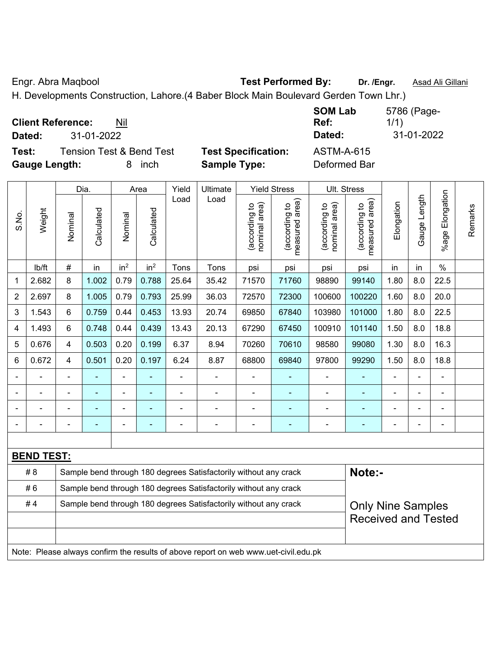Engr. Abra Maqbool **Test Performed By: Dr. /Engr.** Asad Ali Gillani

H. Developments Construction, Lahore.(4 Baber Block Main Boulevard Gerden Town Lhr.)

| <b>Client Reference:</b><br>Nil<br>31-01-2022<br>Dated:                           |                                                   | <b>SOM Lab</b><br>Ref:<br>Dated:  | 5786 (Page-<br>1/1)<br>31-01-2022 |
|-----------------------------------------------------------------------------------|---------------------------------------------------|-----------------------------------|-----------------------------------|
| Test:<br><b>Tension Test &amp; Bend Test</b><br><b>Gauge Length:</b><br>inch<br>8 | <b>Test Specification:</b><br><b>Sample Type:</b> | <b>ASTM-A-615</b><br>Deformed Bar |                                   |

|                |                   |                                                                  | Dia.       |                 | Area            | Yield | Ultimate                                                                            |                                | <b>Yield Stress</b>             |                                | Ult. Stress                     |                          |                |                       |         |
|----------------|-------------------|------------------------------------------------------------------|------------|-----------------|-----------------|-------|-------------------------------------------------------------------------------------|--------------------------------|---------------------------------|--------------------------------|---------------------------------|--------------------------|----------------|-----------------------|---------|
| S.No.          | Weight            | Nominal                                                          | Calculated | Nominal         | Calculated      | Load  | Load                                                                                | nominal area)<br>(according to | (according to<br>measured area) | nominal area)<br>(according to | measured area)<br>(according to | Elongation               | Gauge Length   | Elongation<br>$%$ age | Remarks |
|                | lb/ft             | $\#$                                                             | in         | in <sup>2</sup> | in <sup>2</sup> | Tons  | Tons                                                                                | psi                            | psi                             | psi                            | psi                             | in                       | in             | $\%$                  |         |
| 1              | 2.682             | 8                                                                | 1.002      | 0.79            | 0.788           | 25.64 | 35.42                                                                               | 71570                          | 71760                           | 98890                          | 99140                           | 1.80                     | 8.0            | 22.5                  |         |
| $\overline{2}$ | 2.697             | 8                                                                | 1.005      | 0.79            | 0.793           | 25.99 | 36.03                                                                               | 72570                          | 72300                           | 100600                         | 100220                          | 1.60                     | 8.0            | 20.0                  |         |
| 3              | 1.543             | 6                                                                | 0.759      | 0.44            | 0.453           | 13.93 | 20.74                                                                               | 69850                          | 67840                           | 103980                         | 101000                          | 1.80                     | 8.0            | 22.5                  |         |
| 4              | 1.493             | 6                                                                | 0.748      | 0.44            | 0.439           | 13.43 | 20.13                                                                               | 67290                          | 67450                           | 100910                         | 101140                          | 1.50                     | 8.0            | 18.8                  |         |
| 5              | 0.676             | 4                                                                | 0.503      | 0.20            | 0.199           | 6.37  | 8.94                                                                                | 70260                          | 70610                           | 98580                          | 99080                           | 1.30                     | 8.0            | 16.3                  |         |
| 6              | 0.672             | $\overline{4}$                                                   | 0.501      | 0.20            | 0.197           | 6.24  | 8.87                                                                                | 68800                          | 69840                           | 97800                          | 99290                           | 1.50                     | 8.0            | 18.8                  |         |
|                |                   |                                                                  |            |                 |                 |       |                                                                                     |                                |                                 | $\blacksquare$                 |                                 |                          |                |                       |         |
|                |                   |                                                                  |            | ÷               |                 |       |                                                                                     |                                |                                 |                                |                                 |                          |                |                       |         |
|                |                   |                                                                  |            | -               |                 |       |                                                                                     |                                | ٠                               | ٠                              |                                 |                          |                | $\blacksquare$        |         |
| $\blacksquare$ |                   |                                                                  | ۰          | $\blacksquare$  | ٠               | Ē,    | $\blacksquare$                                                                      | $\blacksquare$                 | $\blacksquare$                  | ÷                              | ٠                               | ۰                        | $\blacksquare$ | ä,                    |         |
|                |                   |                                                                  |            |                 |                 |       |                                                                                     |                                |                                 |                                |                                 |                          |                |                       |         |
|                | <b>BEND TEST:</b> |                                                                  |            |                 |                 |       |                                                                                     |                                |                                 |                                |                                 |                          |                |                       |         |
|                | # 8               |                                                                  |            |                 |                 |       | Sample bend through 180 degrees Satisfactorily without any crack                    |                                |                                 |                                | Note:-                          |                          |                |                       |         |
|                | #6                |                                                                  |            |                 |                 |       | Sample bend through 180 degrees Satisfactorily without any crack                    |                                |                                 |                                |                                 |                          |                |                       |         |
|                | #4                | Sample bend through 180 degrees Satisfactorily without any crack |            |                 |                 |       |                                                                                     |                                |                                 |                                |                                 | <b>Only Nine Samples</b> |                |                       |         |
|                |                   |                                                                  |            |                 |                 |       |                                                                                     |                                |                                 |                                | <b>Received and Tested</b>      |                          |                |                       |         |
|                |                   |                                                                  |            |                 |                 |       |                                                                                     |                                |                                 |                                |                                 |                          |                |                       |         |
|                |                   |                                                                  |            |                 |                 |       | Note: Please always confirm the results of above report on web www.uet-civil.edu.pk |                                |                                 |                                |                                 |                          |                |                       |         |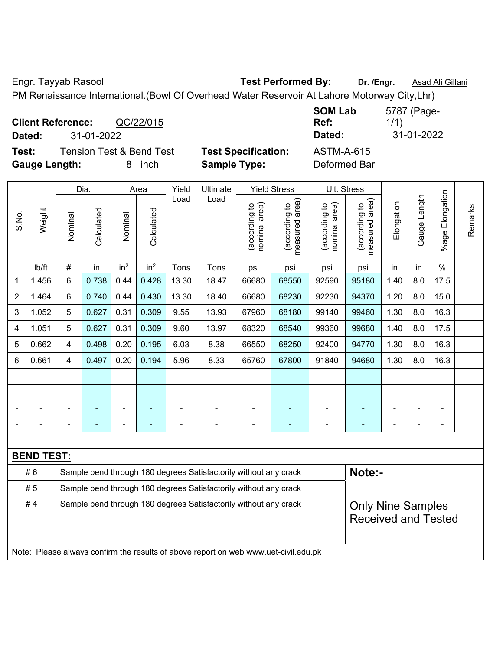Engr. Tayyab Rasool **Test Performed By: Dr. /Engr.** Asad Ali Gillani

PM Renaissance International.(Bowl Of Overhead Water Reservoir At Lahore Motorway City,Lhr)

**Client Reference:** QC/22/015 **Dated:** 31-01-2022 **Dated:** 31-01-2022 **Test:** Tension Test & Bend Test **Test Specification:** ASTM-A-615

**Gauge Length:** 8 inch **Sample Type:** Deformed Bar

**SOM Lab Ref:**  5787 (Page-1/1)

|                |                   |                | Dia.           |                 | Area                                                             | Yield<br>Ultimate |                                                                                     |                                | <b>Yield Stress</b>                         |                                | <b>Ult. Stress</b>              |                |              |                       |         |
|----------------|-------------------|----------------|----------------|-----------------|------------------------------------------------------------------|-------------------|-------------------------------------------------------------------------------------|--------------------------------|---------------------------------------------|--------------------------------|---------------------------------|----------------|--------------|-----------------------|---------|
| S.No.          | Weight            | Nominal        | Calculated     | Nominal         | Calculated                                                       | Load              | Load                                                                                | nominal area)<br>(according to | (according to<br>measured area)<br>measured | nominal area)<br>(according to | (according to<br>measured area) | Elongation     | Gauge Length | Elongation<br>$%$ age | Remarks |
|                | lb/ft             | #              | in             | in <sup>2</sup> | in <sup>2</sup>                                                  | Tons              | Tons                                                                                | psi                            | psi                                         | psi                            | psi                             | in             | in           | $\%$                  |         |
| 1              | 1.456             | 6              | 0.738          | 0.44            | 0.428                                                            | 13.30             | 18.47                                                                               | 66680                          | 68550                                       | 92590                          | 95180                           | 1.40           | 8.0          | 17.5                  |         |
| $\overline{2}$ | 1.464             | 6              | 0.740          | 0.44            | 0.430                                                            | 13.30             | 18.40                                                                               | 66680                          | 68230                                       | 92230                          | 94370                           | 1.20           | 8.0          | 15.0                  |         |
| 3              | 1.052             | 5              | 0.627          | 0.31            | 0.309                                                            | 9.55              | 13.93                                                                               | 67960                          | 68180                                       | 99140                          | 99460                           | 1.30           | 8.0          | 16.3                  |         |
| 4              | 1.051             | 5              | 0.627          | 0.31            | 0.309                                                            | 9.60              | 13.97                                                                               | 68320                          | 68540                                       | 99360                          | 99680                           | 1.40           | 8.0          | 17.5                  |         |
| 5              | 0.662             | $\overline{4}$ | 0.498          | 0.20            | 0.195                                                            | 6.03              | 8.38                                                                                | 66550                          | 68250                                       | 92400                          | 94770                           | 1.30           | 8.0          | 16.3                  |         |
| 6              | 0.661             | 4              | 0.497          | 0.20            | 0.194                                                            | 5.96              | 8.33                                                                                | 65760                          | 67800                                       | 91840                          | 94680                           | 1.30           | 8.0          | 16.3                  |         |
|                |                   | $\blacksquare$ | ä,             | $\blacksquare$  |                                                                  | $\blacksquare$    | ÷.                                                                                  |                                | ÷                                           | $\overline{\phantom{a}}$       | ä,                              | $\blacksquare$ |              | $\blacksquare$        |         |
|                | $\blacksquare$    | $\blacksquare$ | $\blacksquare$ | $\blacksquare$  | $\blacksquare$                                                   | $\blacksquare$    | $\blacksquare$                                                                      | $\blacksquare$                 | ÷                                           | $\blacksquare$                 | ä,                              | $\blacksquare$ |              | $\blacksquare$        |         |
|                |                   |                |                | $\blacksquare$  |                                                                  |                   | ÷                                                                                   | $\blacksquare$                 | ۰                                           | $\blacksquare$                 | $\blacksquare$                  |                |              | ä,                    |         |
|                |                   |                |                |                 |                                                                  |                   | ÷                                                                                   |                                | ۰                                           |                                | $\blacksquare$                  |                |              | -                     |         |
|                |                   |                |                |                 |                                                                  |                   |                                                                                     |                                |                                             |                                |                                 |                |              |                       |         |
|                | <b>BEND TEST:</b> |                |                |                 |                                                                  |                   |                                                                                     |                                |                                             |                                |                                 |                |              |                       |         |
|                | #6                |                |                |                 |                                                                  |                   | Sample bend through 180 degrees Satisfactorily without any crack                    |                                |                                             |                                | Note:-                          |                |              |                       |         |
|                | # 5               |                |                |                 |                                                                  |                   | Sample bend through 180 degrees Satisfactorily without any crack                    |                                |                                             |                                |                                 |                |              |                       |         |
|                | #4                |                |                |                 | Sample bend through 180 degrees Satisfactorily without any crack |                   | <b>Only Nine Samples</b>                                                            |                                |                                             |                                |                                 |                |              |                       |         |
|                |                   |                |                |                 |                                                                  |                   |                                                                                     |                                |                                             |                                | <b>Received and Tested</b>      |                |              |                       |         |
|                |                   |                |                |                 |                                                                  |                   |                                                                                     |                                |                                             |                                |                                 |                |              |                       |         |
|                |                   |                |                |                 |                                                                  |                   | Note: Please always confirm the results of above report on web www.uet-civil.edu.pk |                                |                                             |                                |                                 |                |              |                       |         |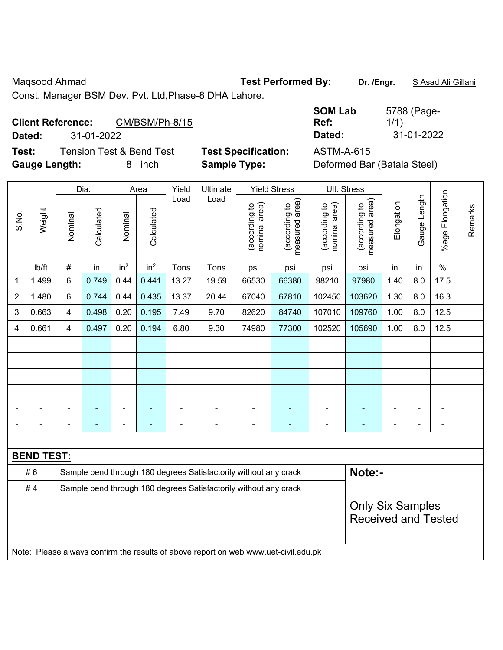Maqsood Ahmad **Test Performed By: Dr. /Engr.** S Asad Ali Gillani

Const. Manager BSM Dev. Pvt. Ltd,Phase-8 DHA Lahore.

## Client Reference: CM/BSM/Ph-8/15

**Dated:** 31-01-2022 **Dated:** 31-01-2022

**Test:** Tension Test & Bend Test **Test Specification:** ASTM-A-615 **Gauge Length:** 8 inch **Sample Type:** Deformed Bar (Batala Steel)

| <b>SOM Lab</b> | 5788 (Page- |
|----------------|-------------|
| Ref:           | 1/1)        |
| Dated:         | 31-01-2022  |

|                          |                   |                | Dia.                                                             |                 | Area                     | Yield          | Ultimate                                                                            |                                | <b>Yield Stress</b>             |                                | Ult. Stress                                           |                |                |                 |         |
|--------------------------|-------------------|----------------|------------------------------------------------------------------|-----------------|--------------------------|----------------|-------------------------------------------------------------------------------------|--------------------------------|---------------------------------|--------------------------------|-------------------------------------------------------|----------------|----------------|-----------------|---------|
| S.No.                    | Weight            | Nominal        | Calculated                                                       | Nominal         | Calculated               | Load           | Load                                                                                | nominal area)<br>(according to | measured area)<br>(according to | nominal area)<br>(according to | measured area)<br>(according to                       | Elongation     | Gauge Length   | %age Elongation | Remarks |
|                          | lb/ft             | $\#$           | in                                                               | in <sup>2</sup> | in <sup>2</sup>          | Tons           | Tons                                                                                | psi                            | psi                             | psi                            | psi                                                   | in             | in             | $\%$            |         |
| 1                        | 1.499             | $6\phantom{1}$ | 0.749                                                            | 0.44            | 0.441                    | 13.27          | 19.59                                                                               | 66530                          | 66380                           | 98210                          | 97980                                                 | 1.40           | 8.0            | 17.5            |         |
| $\overline{2}$           | 1.480             | $6\phantom{1}$ | 0.744                                                            | 0.44            | 0.435                    | 13.37          | 20.44                                                                               | 67040                          | 67810                           | 102450                         | 103620                                                | 1.30           | 8.0            | 16.3            |         |
| 3                        | 0.663             | $\overline{4}$ | 0.498                                                            | 0.20            | 0.195                    | 7.49           | 9.70                                                                                | 82620                          | 84740                           | 107010                         | 109760                                                | 1.00           | 8.0            | 12.5            |         |
| 4                        | 0.661             | $\overline{4}$ | 0.497                                                            | 0.20            | 0.194                    | 6.80           | 9.30                                                                                | 74980                          | 77300                           | 102520                         | 105690                                                | 1.00           | 8.0            | 12.5            |         |
|                          |                   | $\blacksquare$ | $\blacksquare$                                                   | $\blacksquare$  | $\overline{\phantom{a}}$ | $\blacksquare$ | $\blacksquare$                                                                      | $\blacksquare$                 | $\blacksquare$                  | $\blacksquare$                 | ۰                                                     | $\blacksquare$ | ÷,             | $\blacksquare$  |         |
|                          |                   |                | ä,                                                               | $\blacksquare$  |                          |                |                                                                                     | ä,                             | $\blacksquare$                  | $\blacksquare$                 |                                                       |                | ä,             | $\blacksquare$  |         |
|                          |                   |                | $\blacksquare$                                                   |                 |                          |                |                                                                                     | $\overline{\phantom{0}}$       | ٠                               | $\blacksquare$                 | ۰                                                     |                |                | $\blacksquare$  |         |
|                          |                   |                |                                                                  |                 |                          |                |                                                                                     | $\overline{\phantom{0}}$       |                                 | ٠                              |                                                       |                | $\overline{a}$ | L.              |         |
|                          |                   |                | $\blacksquare$                                                   | $\blacksquare$  |                          |                | $\blacksquare$                                                                      | $\overline{\phantom{0}}$       | ٠                               | ٠                              | ۰                                                     |                | -              | $\blacksquare$  |         |
| $\overline{\phantom{0}}$ |                   |                | $\blacksquare$                                                   | ä,              | $\overline{\phantom{a}}$ |                | $\blacksquare$                                                                      | $\blacksquare$                 | $\overline{a}$                  | $\overline{a}$                 | $\overline{\phantom{0}}$                              | ä,             | ä,             | $\blacksquare$  |         |
|                          |                   |                |                                                                  |                 |                          |                |                                                                                     |                                |                                 |                                |                                                       |                |                |                 |         |
|                          | <b>BEND TEST:</b> |                |                                                                  |                 |                          |                |                                                                                     |                                |                                 |                                |                                                       |                |                |                 |         |
|                          | #6                |                |                                                                  |                 |                          |                | Sample bend through 180 degrees Satisfactorily without any crack                    |                                |                                 |                                | Note:-                                                |                |                |                 |         |
|                          | #4                |                | Sample bend through 180 degrees Satisfactorily without any crack |                 |                          |                |                                                                                     |                                |                                 |                                |                                                       |                |                |                 |         |
|                          |                   |                |                                                                  |                 |                          |                |                                                                                     |                                |                                 |                                | <b>Only Six Samples</b><br><b>Received and Tested</b> |                |                |                 |         |
|                          |                   |                |                                                                  |                 |                          |                |                                                                                     |                                |                                 |                                |                                                       |                |                |                 |         |
|                          |                   |                |                                                                  |                 |                          |                | Note: Please always confirm the results of above report on web www.uet-civil.edu.pk |                                |                                 |                                |                                                       |                |                |                 |         |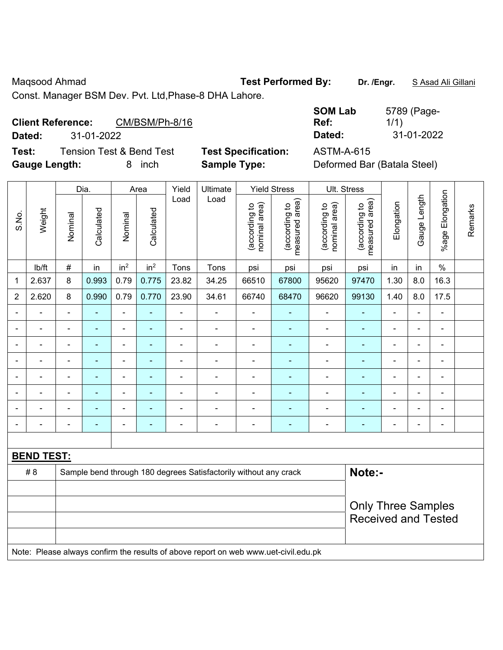Maqsood Ahmad **Test Performed By: Dr. /Engr.** S Asad Ali Gillani

Const. Manager BSM Dev. Pvt. Ltd,Phase-8 DHA Lahore.

| <b>Client Reference:</b>    |            | CM/BSM/Ph-8/16 |
|-----------------------------|------------|----------------|
| <b>B</b> - <b>1</b> - - 1 - | na na nnnn |                |

**Dated:** 31-01-2022 **Dated:** 31-01-2022

**Test:** Tension Test & Bend Test **Test Specification:** ASTM-A-615 **Gauge Length:** 8 inch **Sample Type:** Deformed Bar (Batala Steel)

| <b>SOM Lab</b> | 5789 (Page- |
|----------------|-------------|
| Ref:           | 1/1)        |
| Dated:         | 31-01-2022  |

|                |                   |                | Dia.           |                              | Area                     | Yield          | Ultimate                                                                            |                                | <b>Yield Stress</b>             | Ult. Stress                    |                                 |                          |                          |                 |         |
|----------------|-------------------|----------------|----------------|------------------------------|--------------------------|----------------|-------------------------------------------------------------------------------------|--------------------------------|---------------------------------|--------------------------------|---------------------------------|--------------------------|--------------------------|-----------------|---------|
| S.No.          | Weight            | Nominal        | Calculated     | Nominal                      | Calculated               | Load           | Load                                                                                | nominal area)<br>(according to | (according to<br>measured area) | nominal area)<br>(according to | measured area)<br>(according to | Elongation               | Gauge Length             | %age Elongation | Remarks |
|                | lb/ft             | $\#$           | in             | in <sup>2</sup>              | in <sup>2</sup>          | Tons           | Tons                                                                                | psi                            | psi                             | psi                            | psi                             | in                       | in                       | $\%$            |         |
| $\mathbf 1$    | 2.637             | 8              | 0.993          | 0.79                         | 0.775                    | 23.82          | 34.25                                                                               | 66510                          | 67800                           | 95620                          | 97470                           | 1.30                     | 8.0                      | 16.3            |         |
| $\overline{2}$ | 2.620             | 8              | 0.990          | 0.79                         | 0.770                    | 23.90          | 34.61                                                                               | 66740                          | 68470                           | 96620                          | 99130                           | 1.40                     | 8.0                      | 17.5            |         |
| $\blacksquare$ | $\blacksquare$    | $\blacksquare$ | ä,             | $\blacksquare$               | ÷,                       | $\blacksquare$ | $\blacksquare$                                                                      | ÷,                             | ÷                               | $\blacksquare$                 | $\blacksquare$                  | $\blacksquare$           | $\overline{\phantom{a}}$ | L,              |         |
| $\blacksquare$ | $\blacksquare$    | $\blacksquare$ | ä,             | $\qquad \qquad \blacksquare$ | ÷,                       | $\blacksquare$ | $\blacksquare$                                                                      | $\overline{\phantom{a}}$       | ÷                               | $\blacksquare$                 | ÷,                              | $\overline{a}$           | ä,                       | $\blacksquare$  |         |
|                | $\blacksquare$    | $\blacksquare$ | $\blacksquare$ | $\overline{\phantom{a}}$     | $\blacksquare$           | $\blacksquare$ | $\blacksquare$                                                                      | $\overline{\phantom{a}}$       | ÷                               | $\overline{\phantom{a}}$       | $\blacksquare$                  | $\blacksquare$           | ä,                       | $\blacksquare$  |         |
|                |                   | $\blacksquare$ |                | $\blacksquare$               |                          |                |                                                                                     | $\blacksquare$                 | $\blacksquare$                  | ä,                             | ä,                              |                          | Ě.                       | $\blacksquare$  |         |
|                |                   | $\blacksquare$ | $\blacksquare$ | $\blacksquare$               |                          |                |                                                                                     | $\overline{\phantom{a}}$       | $\blacksquare$                  | ÷                              | ä,                              |                          | L,                       | $\blacksquare$  |         |
|                |                   | $\blacksquare$ |                | $\blacksquare$               |                          | $\blacksquare$ |                                                                                     | $\overline{\phantom{a}}$       |                                 | ÷                              |                                 | $\overline{\phantom{a}}$ | $\blacksquare$           | $\blacksquare$  |         |
|                |                   |                |                | $\blacksquare$               |                          |                | $\blacksquare$                                                                      | $\blacksquare$                 |                                 |                                | ۰                               |                          | ÷                        | $\blacksquare$  |         |
| $\blacksquare$ |                   | $\blacksquare$ | $\blacksquare$ | $\blacksquare$               | $\overline{\phantom{0}}$ | $\blacksquare$ | $\blacksquare$                                                                      | $\blacksquare$                 | $\overline{\phantom{0}}$        | $\blacksquare$                 | $\blacksquare$                  | $\blacksquare$           | ä,                       | $\blacksquare$  |         |
|                |                   |                |                |                              |                          |                |                                                                                     |                                |                                 |                                |                                 |                          |                          |                 |         |
|                | <b>BEND TEST:</b> |                |                |                              |                          |                |                                                                                     |                                |                                 |                                |                                 |                          |                          |                 |         |
|                | # 8               |                |                |                              |                          |                | Sample bend through 180 degrees Satisfactorily without any crack                    |                                |                                 |                                | Note:-                          |                          |                          |                 |         |
|                |                   |                |                |                              |                          |                |                                                                                     |                                |                                 |                                |                                 |                          |                          |                 |         |
|                |                   |                |                |                              |                          |                | <b>Only Three Samples</b>                                                           |                                |                                 |                                |                                 |                          |                          |                 |         |
|                |                   |                |                |                              |                          |                |                                                                                     |                                |                                 |                                | <b>Received and Tested</b>      |                          |                          |                 |         |
|                |                   |                |                |                              |                          |                |                                                                                     |                                |                                 |                                |                                 |                          |                          |                 |         |
|                |                   |                |                |                              |                          |                | Note: Please always confirm the results of above report on web www.uet-civil.edu.pk |                                |                                 |                                |                                 |                          |                          |                 |         |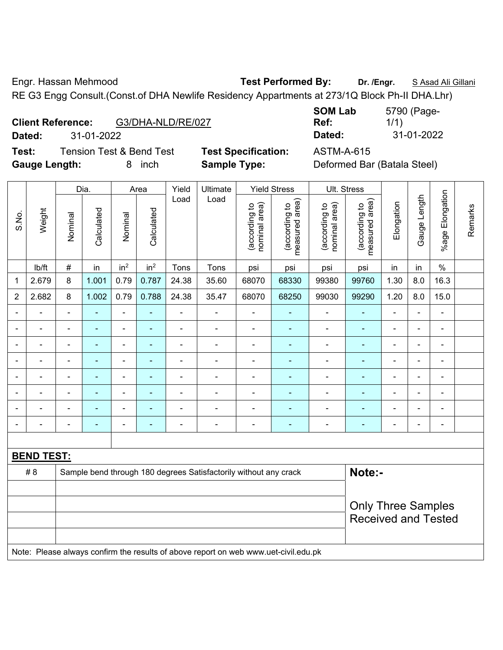Engr. Hassan Mehmood **Test Performed By: Dr. /Engr.** S Asad Ali Gillani

RE G3 Engg Consult.(Const.of DHA Newlife Residency Appartments at 273/1Q Block Ph-II DHA.Lhr)

| <b>Client Reference:</b> | G3/DHA-NLD/RE/027 |
|--------------------------|-------------------|
|                          |                   |

**Test:** Tension Test & Bend Test **Test Specification:** ASTM-A-615 **Gauge Length:** 8 inch **Sample Type:** Deformed Bar (Batala Steel)

**SOM Lab Ref:**  5790 (Page-1/1) **Dated:** 31-01-2022 **Dated:** 31-01-2022

|                |                   |                | Dia.           |                          | Area            | Yield<br>Load  | Ultimate                                                                            |                                | <b>Yield Stress</b>             | Ult. Stress                    |                                 |                |                |                          |         |
|----------------|-------------------|----------------|----------------|--------------------------|-----------------|----------------|-------------------------------------------------------------------------------------|--------------------------------|---------------------------------|--------------------------------|---------------------------------|----------------|----------------|--------------------------|---------|
| S.No.          | Weight            | Nominal        | Calculated     | Nominal                  | Calculated      |                | Load                                                                                | nominal area)<br>(according to | (according to<br>measured area) | nominal area)<br>(according to | (according to<br>measured area) | Elongation     | Gauge Length   | Elongation<br>$%$ age    | Remarks |
|                | lb/ft             | $\#$           | in             | in <sup>2</sup>          | in <sup>2</sup> | Tons           | Tons                                                                                | psi                            | psi                             | psi                            | psi                             | in             | in             | $\%$                     |         |
| $\mathbf 1$    | 2.679             | 8              | 1.001          | 0.79                     | 0.787           | 24.38          | 35.60                                                                               | 68070                          | 68330                           | 99380                          | 99760                           | 1.30           | 8.0            | 16.3                     |         |
| $\overline{2}$ | 2.682             | 8              | 1.002          | 0.79                     | 0.788           | 24.38          | 35.47                                                                               | 68070                          | 68250                           | 99030                          | 99290                           | 1.20           | 8.0            | 15.0                     |         |
| $\blacksquare$ | $\blacksquare$    | $\blacksquare$ | L,             | ÷,                       | $\blacksquare$  | $\blacksquare$ | $\blacksquare$                                                                      | $\blacksquare$                 | $\blacksquare$                  | $\blacksquare$                 | $\blacksquare$                  | $\blacksquare$ | ÷,             | $\blacksquare$           |         |
| $\blacksquare$ | $\blacksquare$    | $\blacksquare$ | $\blacksquare$ | ÷,                       | ÷               | $\blacksquare$ | $\blacksquare$                                                                      | $\blacksquare$                 | $\blacksquare$                  | $\blacksquare$                 | $\blacksquare$                  | $\blacksquare$ | ÷,             | $\blacksquare$           |         |
|                | $\blacksquare$    | $\blacksquare$ | $\blacksquare$ | ÷,                       | $\blacksquare$  | $\blacksquare$ | $\blacksquare$                                                                      | $\blacksquare$                 | $\blacksquare$                  | $\blacksquare$                 | $\blacksquare$                  | $\blacksquare$ | ä,             | $\blacksquare$           |         |
|                |                   | ÷              |                | ÷                        |                 |                |                                                                                     | Ē,                             | ÷,                              | ÷                              |                                 |                | ÷              | $\overline{a}$           |         |
|                |                   | $\blacksquare$ | $\blacksquare$ | $\overline{\phantom{0}}$ |                 |                | $\blacksquare$                                                                      | $\overline{\phantom{0}}$       | $\blacksquare$                  | $\overline{\phantom{0}}$       | $\blacksquare$                  |                | ۰              | $\blacksquare$           |         |
|                |                   | $\blacksquare$ | $\blacksquare$ | $\blacksquare$           | ٠               |                |                                                                                     | $\overline{\phantom{0}}$       | $\blacksquare$                  |                                | $\blacksquare$                  | $\blacksquare$ | $\blacksquare$ | $\blacksquare$           |         |
|                |                   | $\blacksquare$ | ÷              | ÷                        |                 |                | ÷                                                                                   | $\blacksquare$                 | $\blacksquare$                  | $\blacksquare$                 | $\blacksquare$                  | $\blacksquare$ | $\blacksquare$ | $\overline{\phantom{a}}$ |         |
| $\blacksquare$ | $\blacksquare$    | $\blacksquare$ | $\blacksquare$ | $\blacksquare$           | $\blacksquare$  | $\blacksquare$ | $\blacksquare$                                                                      | $\blacksquare$                 | $\blacksquare$                  | $\overline{\phantom{a}}$       | $\blacksquare$                  | $\blacksquare$ | ä,             | $\overline{\phantom{a}}$ |         |
|                |                   |                |                |                          |                 |                |                                                                                     |                                |                                 |                                |                                 |                |                |                          |         |
|                | <b>BEND TEST:</b> |                |                |                          |                 |                |                                                                                     |                                |                                 |                                |                                 |                |                |                          |         |
|                | # 8               |                |                |                          |                 |                | Sample bend through 180 degrees Satisfactorily without any crack                    |                                |                                 |                                | Note:-                          |                |                |                          |         |
|                |                   |                |                |                          |                 |                |                                                                                     |                                |                                 |                                |                                 |                |                |                          |         |
|                |                   |                |                |                          |                 |                | <b>Only Three Samples</b>                                                           |                                |                                 |                                |                                 |                |                |                          |         |
|                |                   |                |                |                          |                 |                |                                                                                     |                                |                                 |                                | <b>Received and Tested</b>      |                |                |                          |         |
|                |                   |                |                |                          |                 |                |                                                                                     |                                |                                 |                                |                                 |                |                |                          |         |
|                |                   |                |                |                          |                 |                | Note: Please always confirm the results of above report on web www.uet-civil.edu.pk |                                |                                 |                                |                                 |                |                |                          |         |